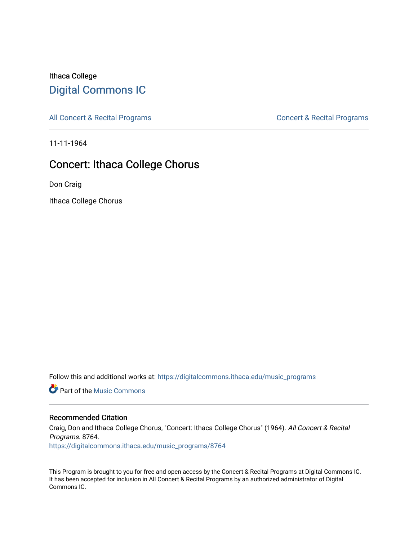## Ithaca College [Digital Commons IC](https://digitalcommons.ithaca.edu/)

[All Concert & Recital Programs](https://digitalcommons.ithaca.edu/music_programs) **Concert & Recital Programs** Concert & Recital Programs

11-11-1964

## Concert: Ithaca College Chorus

Don Craig

Ithaca College Chorus

Follow this and additional works at: [https://digitalcommons.ithaca.edu/music\\_programs](https://digitalcommons.ithaca.edu/music_programs?utm_source=digitalcommons.ithaca.edu%2Fmusic_programs%2F8764&utm_medium=PDF&utm_campaign=PDFCoverPages) 

**C** Part of the Music Commons

## Recommended Citation

Craig, Don and Ithaca College Chorus, "Concert: Ithaca College Chorus" (1964). All Concert & Recital Programs. 8764. [https://digitalcommons.ithaca.edu/music\\_programs/8764](https://digitalcommons.ithaca.edu/music_programs/8764?utm_source=digitalcommons.ithaca.edu%2Fmusic_programs%2F8764&utm_medium=PDF&utm_campaign=PDFCoverPages) 

This Program is brought to you for free and open access by the Concert & Recital Programs at Digital Commons IC. It has been accepted for inclusion in All Concert & Recital Programs by an authorized administrator of Digital Commons IC.